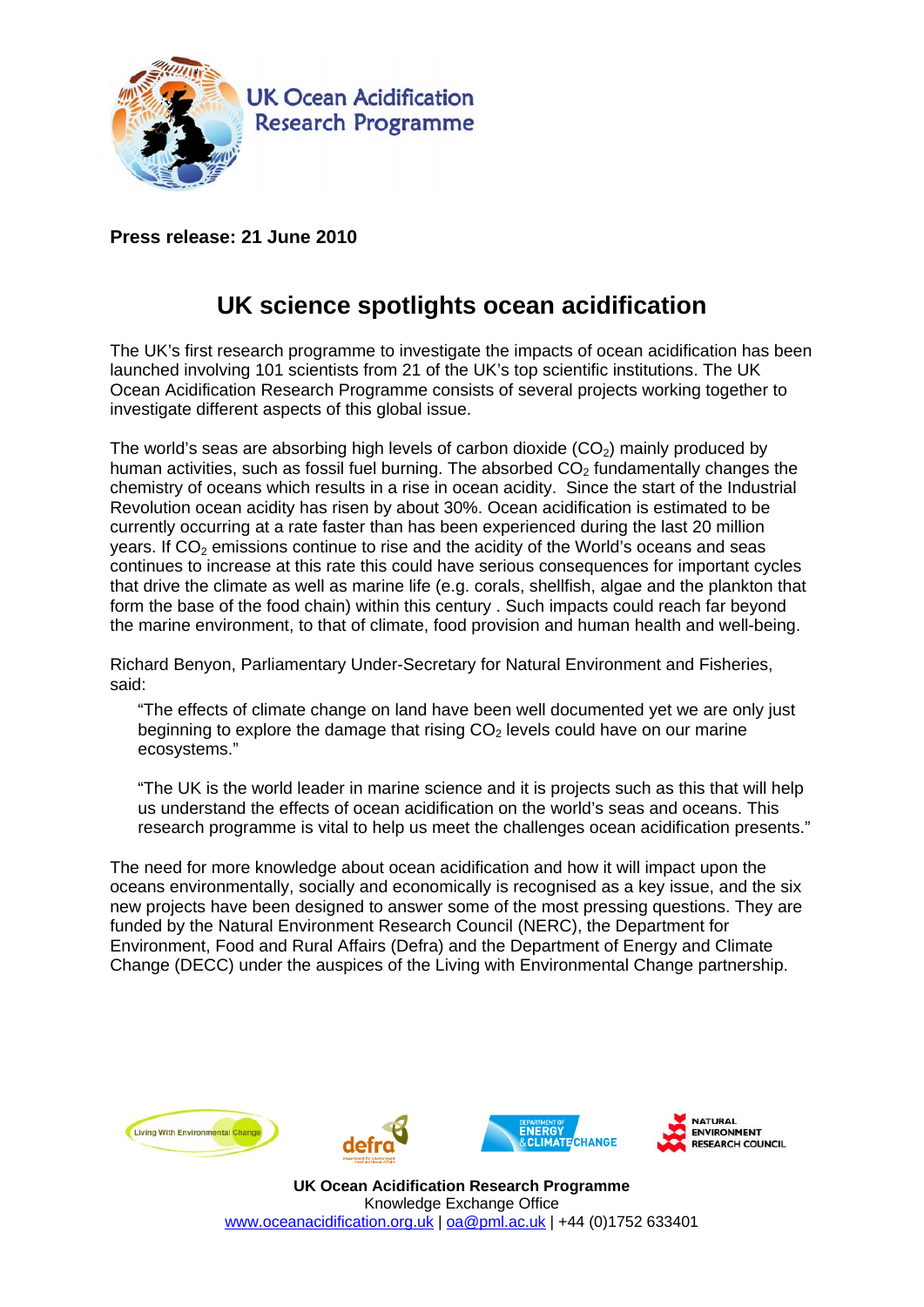

**Press release: 21 June 2010** 

## **UK science spotlights ocean acidification**

The UK's first research programme to investigate the impacts of ocean acidification has been launched involving 101 scientists from 21 of the UK's top scientific institutions. The UK Ocean Acidification Research Programme consists of several projects working together to investigate different aspects of this global issue.

The world's seas are absorbing high levels of carbon dioxide  $(CO<sub>2</sub>)$  mainly produced by human activities, such as fossil fuel burning. The absorbed  $CO<sub>2</sub>$  fundamentally changes the chemistry of oceans which results in a rise in ocean acidity. Since the start of the Industrial Revolution ocean acidity has risen by about 30%. Ocean acidification is estimated to be currently occurring at a rate faster than has been experienced during the last 20 million years. If  $CO<sub>2</sub>$  emissions continue to rise and the acidity of the World's oceans and seas continues to increase at this rate this could have serious consequences for important cycles that drive the climate as well as marine life (e.g. corals, shellfish, algae and the plankton that form the base of the food chain) within this century . Such impacts could reach far beyond the marine environment, to that of climate, food provision and human health and well-being.

Richard Benyon, Parliamentary Under-Secretary for Natural Environment and Fisheries, said:

"The effects of climate change on land have been well documented yet we are only just beginning to explore the damage that rising  $CO<sub>2</sub>$  levels could have on our marine ecosystems."

"The UK is the world leader in marine science and it is projects such as this that will help us understand the effects of ocean acidification on the world's seas and oceans. This research programme is vital to help us meet the challenges ocean acidification presents."

The need for more knowledge about ocean acidification and how it will impact upon the oceans environmentally, socially and economically is recognised as a key issue, and the six new projects have been designed to answer some of the most pressing questions. They are funded by the Natural Environment Research Council (NERC), the Department for Environment, Food and Rural Affairs (Defra) and the Department of Energy and Climate Change (DECC) under the auspices of the Living with Environmental Change partnership.







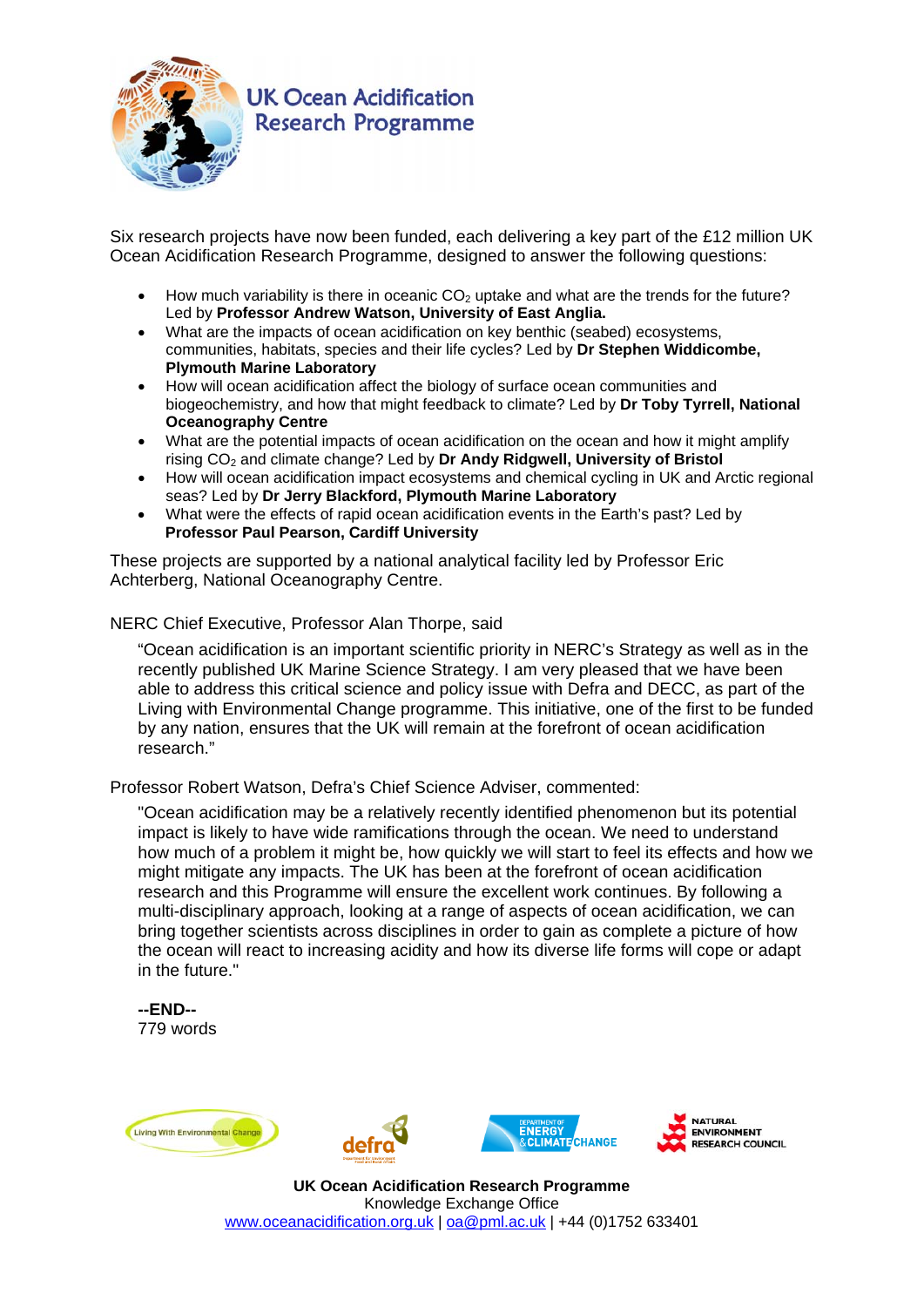

## **UK Ocean Acidification Research Programme**

Six research projects have now been funded, each delivering a key part of the £12 million UK Ocean Acidification Research Programme, designed to answer the following questions:

- How much variability is there in oceanic  $CO<sub>2</sub>$  uptake and what are the trends for the future? Led by **Professor Andrew Watson, University of East Anglia.**
- What are the impacts of ocean acidification on key benthic (seabed) ecosystems, communities, habitats, species and their life cycles? Led by **Dr Stephen Widdicombe, Plymouth Marine Laboratory**
- How will ocean acidification affect the biology of surface ocean communities and biogeochemistry, and how that might feedback to climate? Led by **Dr Toby Tyrrell, National Oceanography Centre**
- What are the potential impacts of ocean acidification on the ocean and how it might amplify rising CO2 and climate change? Led by **Dr Andy Ridgwell, University of Bristol**
- How will ocean acidification impact ecosystems and chemical cycling in UK and Arctic regional seas? Led by **Dr Jerry Blackford, Plymouth Marine Laboratory**
- What were the effects of rapid ocean acidification events in the Earth's past? Led by **Professor Paul Pearson, Cardiff University**

These projects are supported by a national analytical facility led by Professor Eric Achterberg, National Oceanography Centre.

NERC Chief Executive, Professor Alan Thorpe, said

"Ocean acidification is an important scientific priority in NERC's Strategy as well as in the recently published UK Marine Science Strategy. I am very pleased that we have been able to address this critical science and policy issue with Defra and DECC, as part of the Living with Environmental Change programme. This initiative, one of the first to be funded by any nation, ensures that the UK will remain at the forefront of ocean acidification research."

Professor Robert Watson, Defra's Chief Science Adviser, commented:

"Ocean acidification may be a relatively recently identified phenomenon but its potential impact is likely to have wide ramifications through the ocean. We need to understand how much of a problem it might be, how quickly we will start to feel its effects and how we might mitigate any impacts. The UK has been at the forefront of ocean acidification research and this Programme will ensure the excellent work continues. By following a multi-disciplinary approach, looking at a range of aspects of ocean acidification, we can bring together scientists across disciplines in order to gain as complete a picture of how the ocean will react to increasing acidity and how its diverse life forms will cope or adapt in the future."

**--END--**  779 words







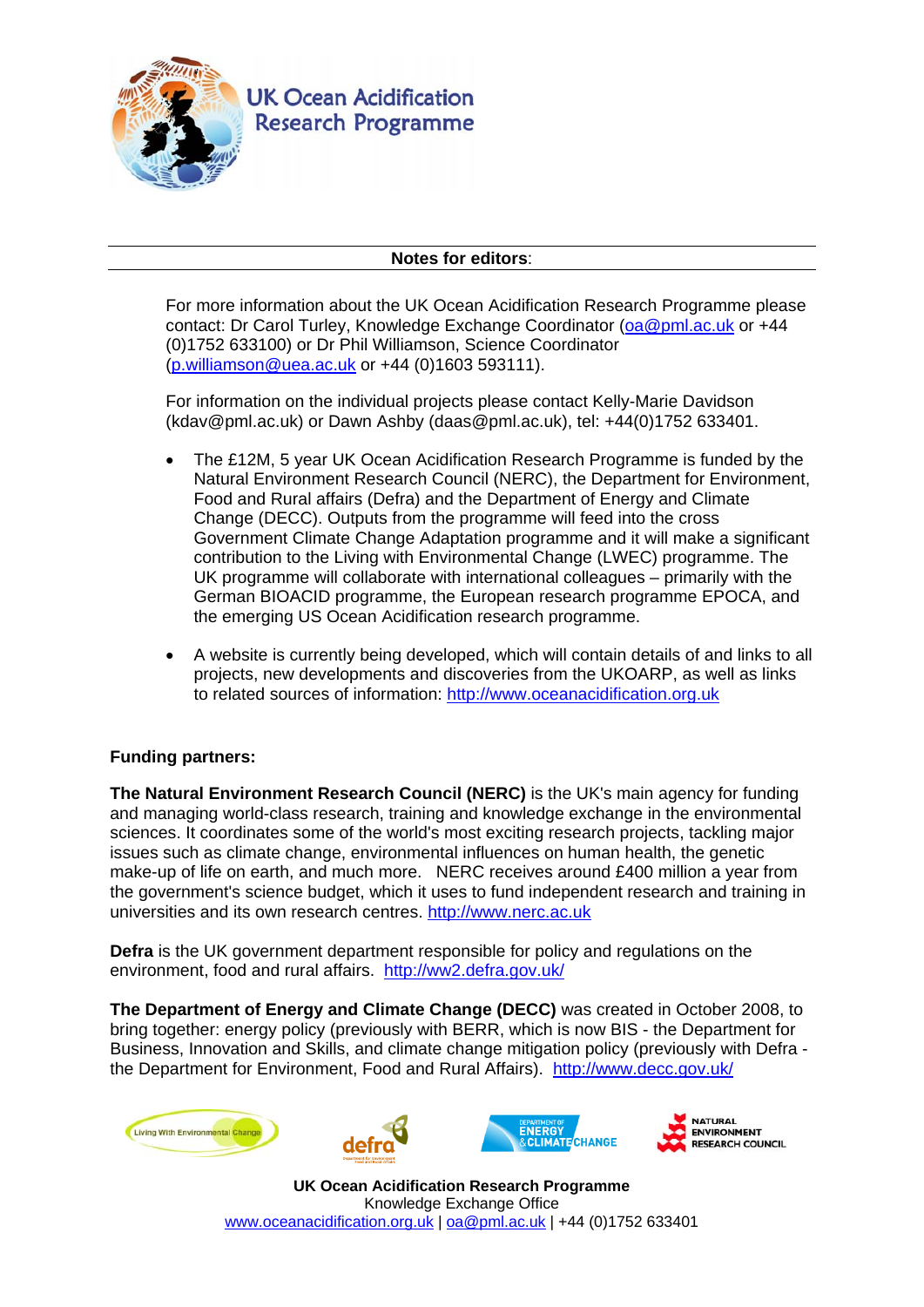

## **Notes for editors**:

For more information about the UK Ocean Acidification Research Programme please contact: Dr Carol Turley, Knowledge Exchange Coordinator (oa@pml.ac.uk or +44 (0)1752 633100) or Dr Phil Williamson, Science Coordinator (p.williamson@uea.ac.uk or +44 (0)1603 593111).

For information on the individual projects please contact Kelly-Marie Davidson (kdav@pml.ac.uk) or Dawn Ashby (daas@pml.ac.uk), tel: +44(0)1752 633401.

- The £12M, 5 year UK Ocean Acidification Research Programme is funded by the Natural Environment Research Council (NERC), the Department for Environment, Food and Rural affairs (Defra) and the Department of Energy and Climate Change (DECC). Outputs from the programme will feed into the cross Government Climate Change Adaptation programme and it will make a significant contribution to the Living with Environmental Change (LWEC) programme. The UK programme will collaborate with international colleagues – primarily with the German BIOACID programme, the European research programme EPOCA, and the emerging US Ocean Acidification research programme.
- A website is currently being developed, which will contain details of and links to all projects, new developments and discoveries from the UKOARP, as well as links to related sources of information: http://www.oceanacidification.org.uk

## **Funding partners:**

**The Natural Environment Research Council (NERC)** is the UK's main agency for funding and managing world-class research, training and knowledge exchange in the environmental sciences. It coordinates some of the world's most exciting research projects, tackling major issues such as climate change, environmental influences on human health, the genetic make-up of life on earth, and much more. NERC receives around £400 million a year from the government's science budget, which it uses to fund independent research and training in universities and its own research centres. http://www.nerc.ac.uk

**Defra** is the UK government department responsible for policy and regulations on the environment, food and rural affairs. http://ww2.defra.gov.uk/

**The Department of Energy and Climate Change (DECC)** was created in October 2008, to bring together: energy policy (previously with BERR, which is now BIS - the Department for Business, Innovation and Skills, and climate change mitigation policy (previously with Defra the Department for Environment, Food and Rural Affairs). http://www.decc.gov.uk/